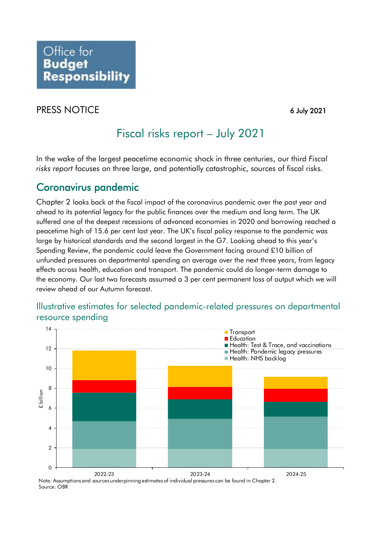## PRESS NOTICE 6 July 2021

## Fiscal risks report – July 2021

 In the wake of the largest peacetime economic shock in three centuries, our third *Fiscal risks report* focuses on three large, and potentially catastrophic, sources of fiscal risks.

## Coronavirus pandemic

 large by historical standards and the second largest in the G7. Looking ahead to this year's Chapter 2 looks back at the fiscal impact of the coronavirus pandemic over the past year and ahead to its potential legacy for the public finances over the medium and long term. The UK suffered one of the deepest recessions of advanced economies in 2020 and borrowing reached a peacetime high of 15.6 per cent last year. The UK's fiscal policy response to the pandemic was Spending Review, the pandemic could leave the Government facing around £10 billion of unfunded pressures on departmental spending on average over the next three years, from legacy effects across health, education and transport. The pandemic could do longer-term damage to the economy. Our last two forecasts assumed a 3 per cent permanent loss of output which we will review ahead of our Autumn forecast.

### Illustrative estimates for selected pandemic-related pressures on departmental resource spending



Source: OBR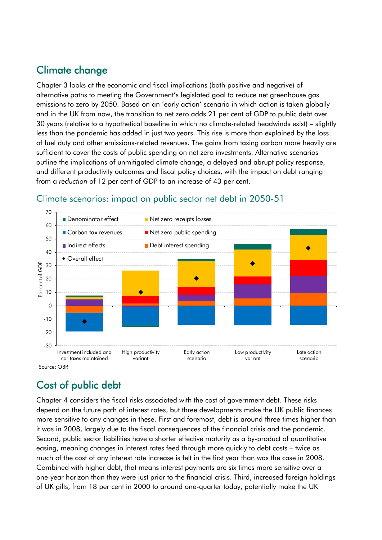## Climate change

Chapter 3 looks at the economic and fiscal implications (both positive and negative) of alternative paths to meeting the Government's legislated goal to reduce net greenhouse gas emissions to zero by 2050. Based on an 'early action' scenario in which action is taken globally and in the UK from now, the transition to net zero adds 21 per cent of GDP to public debt over 30 years (relative to a hypothetical baseline in which no climate-related headwinds exist) – slightly less than the pandemic has added in just two years. This rise is more than explained by the loss of fuel duty and other emissions-related revenues. The gains from taxing carbon more heavily are sufficient to cover the costs of public spending on net zero investments. Alternative scenarios outline the implications of unmitigated climate change, a delayed and abrupt policy response, and different productivity outcomes and fiscal policy choices, with the impact on debt ranging from a *reduction* of 12 per cent of GDP to an increase of 43 per cent.



#### Climate scenarios: impact on public sector net debt in 2050-51

# Cost of public debt

Chapter 4 considers the fiscal risks associated with the cost of government debt. These risks depend on the future path of interest rates, but three developments make the UK public finances more sensitive to any changes in these. First and foremost, debt is around three times higher than it was in 2008, largely due to the fiscal consequences of the financial crisis and the pandemic. Second, public sector liabilities have a shorter effective maturity as a by-product of quantitative easing, meaning changes in interest rates feed through more quickly to debt costs – twice as much of the cost of any interest rate increase is felt in the first year than was the case in 2008. Combined with higher debt, that means interest payments are six times more sensitive over a one-year horizon than they were just prior to the financial crisis. Third, increased foreign holdings of UK gilts, from 18 per cent in 2000 to around one-quarter today, potentially make the UK